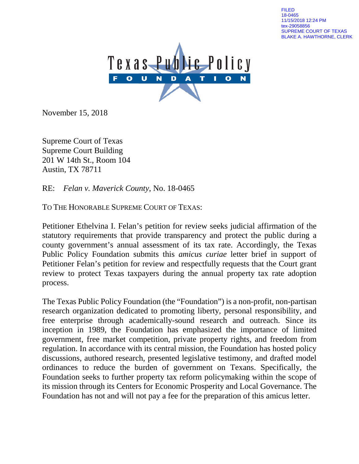FILED 18-0465 11/15/2018 12:24 PM tex-29058856 SUPREME COURT OF TEXAS BLAKE A. HAWTHORNE, CLERK



November 15, 2018

Supreme Court of Texas Supreme Court Building 201 W 14th St., Room 104 Austin, TX 78711

RE: *Felan v. Maverick County*, No. 18-0465

TO THE HONORABLE SUPREME COURT OF TEXAS:

Petitioner Ethelvina I. Felan's petition for review seeks judicial affirmation of the statutory requirements that provide transparency and protect the public during a county government's annual assessment of its tax rate. Accordingly, the Texas Public Policy Foundation submits this *amicus curiae* letter brief in support of Petitioner Felan's petition for review and respectfully requests that the Court grant review to protect Texas taxpayers during the annual property tax rate adoption process.

The Texas Public Policy Foundation (the "Foundation") is a non-profit, non-partisan research organization dedicated to promoting liberty, personal responsibility, and free enterprise through academically-sound research and outreach. Since its inception in 1989, the Foundation has emphasized the importance of limited government, free market competition, private property rights, and freedom from regulation. In accordance with its central mission, the Foundation has hosted policy discussions, authored research, presented legislative testimony, and drafted model ordinances to reduce the burden of government on Texans. Specifically, the Foundation seeks to further property tax reform policymaking within the scope of its mission through its Centers for Economic Prosperity and Local Governance. The Foundation has not and will not pay a fee for the preparation of this amicus letter.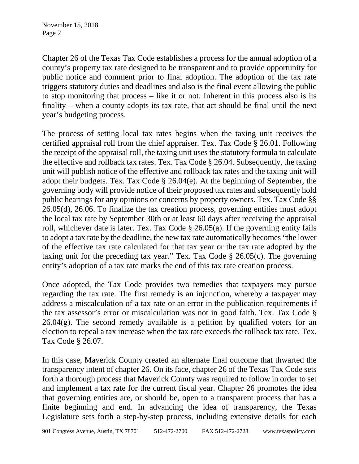Chapter 26 of the Texas Tax Code establishes a process for the annual adoption of a county's property tax rate designed to be transparent and to provide opportunity for public notice and comment prior to final adoption. The adoption of the tax rate triggers statutory duties and deadlines and also is the final event allowing the public to stop monitoring that process – like it or not. Inherent in this process also is its finality – when a county adopts its tax rate, that act should be final until the next year's budgeting process.

The process of setting local tax rates begins when the taxing unit receives the certified appraisal roll from the chief appraiser. Tex. Tax Code § 26.01. Following the receipt of the appraisal roll, the taxing unit uses the statutory formula to calculate the effective and rollback tax rates. Tex. Tax Code § 26.04. Subsequently, the taxing unit will publish notice of the effective and rollback tax rates and the taxing unit will adopt their budgets. Tex. Tax Code § 26.04(e). At the beginning of September, the governing body will provide notice of their proposed tax rates and subsequently hold public hearings for any opinions or concerns by property owners. Tex. Tax Code §§ 26.05(d), 26.06. To finalize the tax creation process, governing entities must adopt the local tax rate by September 30th or at least 60 days after receiving the appraisal roll, whichever date is later. Tex. Tax Code § 26.05(a). If the governing entity fails to adopt a tax rate by the deadline, the new tax rate automatically becomes "the lower of the effective tax rate calculated for that tax year or the tax rate adopted by the taxing unit for the preceding tax year." Tex. Tax Code § 26.05(c). The governing entity's adoption of a tax rate marks the end of this tax rate creation process.

Once adopted, the Tax Code provides two remedies that taxpayers may pursue regarding the tax rate. The first remedy is an injunction, whereby a taxpayer may address a miscalculation of a tax rate or an error in the publication requirements if the tax assessor's error or miscalculation was not in good faith. Tex. Tax Code §  $26.04(g)$ . The second remedy available is a petition by qualified voters for an election to repeal a tax increase when the tax rate exceeds the rollback tax rate. Tex. Tax Code § 26.07.

In this case, Maverick County created an alternate final outcome that thwarted the transparency intent of chapter 26. On its face, chapter 26 of the Texas Tax Code sets forth a thorough process that Maverick County was required to follow in order to set and implement a tax rate for the current fiscal year. Chapter 26 promotes the idea that governing entities are, or should be, open to a transparent process that has a finite beginning and end. In advancing the idea of transparency, the Texas Legislature sets forth a step-by-step process, including extensive details for each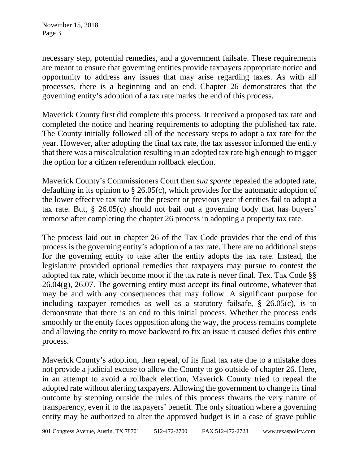necessary step, potential remedies, and a government failsafe. These requirements are meant to ensure that governing entities provide taxpayers appropriate notice and opportunity to address any issues that may arise regarding taxes. As with all processes, there is a beginning and an end. Chapter 26 demonstrates that the governing entity's adoption of a tax rate marks the end of this process.

Maverick County first did complete this process. It received a proposed tax rate and completed the notice and hearing requirements to adopting the published tax rate. The County initially followed all of the necessary steps to adopt a tax rate for the year. However, after adopting the final tax rate, the tax assessor informed the entity that there was a miscalculation resulting in an adopted tax rate high enough to trigger the option for a citizen referendum rollback election.

Maverick County's Commissioners Court then *sua sponte* repealed the adopted rate, defaulting in its opinion to § 26.05(c), which provides for the automatic adoption of the lower effective tax rate for the present or previous year if entities fail to adopt a tax rate. But, § 26.05(c) should not bail out a governing body that has buyers' remorse after completing the chapter 26 process in adopting a property tax rate.

The process laid out in chapter 26 of the Tax Code provides that the end of this process is the governing entity's adoption of a tax rate. There are no additional steps for the governing entity to take after the entity adopts the tax rate. Instead, the legislature provided optional remedies that taxpayers may pursue to contest the adopted tax rate, which become moot if the tax rate is never final. Tex. Tax Code §§  $26.04(g)$ ,  $26.07$ . The governing entity must accept its final outcome, whatever that may be and with any consequences that may follow. A significant purpose for including taxpayer remedies as well as a statutory failsafe, § 26.05(c), is to demonstrate that there is an end to this initial process. Whether the process ends smoothly or the entity faces opposition along the way, the process remains complete and allowing the entity to move backward to fix an issue it caused defies this entire process.

Maverick County's adoption, then repeal, of its final tax rate due to a mistake does not provide a judicial excuse to allow the County to go outside of chapter 26. Here, in an attempt to avoid a rollback election, Maverick County tried to repeal the adopted rate without alerting taxpayers. Allowing the government to change its final outcome by stepping outside the rules of this process thwarts the very nature of transparency, even if to the taxpayers' benefit. The only situation where a governing entity may be authorized to alter the approved budget is in a case of grave public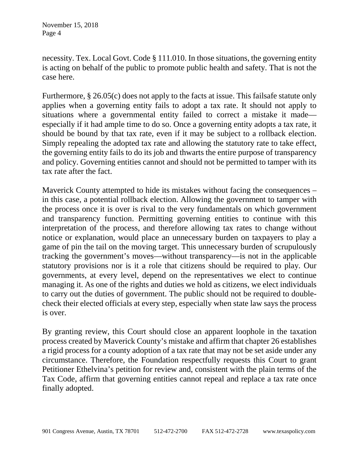November 15, 2018 Page 4

necessity. Tex. Local Govt. Code § 111.010. In those situations, the governing entity is acting on behalf of the public to promote public health and safety. That is not the case here.

Furthermore, § 26.05(c) does not apply to the facts at issue. This failsafe statute only applies when a governing entity fails to adopt a tax rate. It should not apply to situations where a governmental entity failed to correct a mistake it made especially if it had ample time to do so. Once a governing entity adopts a tax rate, it should be bound by that tax rate, even if it may be subject to a rollback election. Simply repealing the adopted tax rate and allowing the statutory rate to take effect, the governing entity fails to do its job and thwarts the entire purpose of transparency and policy. Governing entities cannot and should not be permitted to tamper with its tax rate after the fact.

Maverick County attempted to hide its mistakes without facing the consequences – in this case, a potential rollback election. Allowing the government to tamper with the process once it is over is rival to the very fundamentals on which government and transparency function. Permitting governing entities to continue with this interpretation of the process, and therefore allowing tax rates to change without notice or explanation, would place an unnecessary burden on taxpayers to play a game of pin the tail on the moving target. This unnecessary burden of scrupulously tracking the government's moves—without transparency—is not in the applicable statutory provisions nor is it a role that citizens should be required to play. Our governments, at every level, depend on the representatives we elect to continue managing it. As one of the rights and duties we hold as citizens, we elect individuals to carry out the duties of government. The public should not be required to doublecheck their elected officials at every step, especially when state law says the process is over.

By granting review, this Court should close an apparent loophole in the taxation process created by Maverick County's mistake and affirm that chapter 26 establishes a rigid process for a county adoption of a tax rate that may not be set aside under any circumstance. Therefore, the Foundation respectfully requests this Court to grant Petitioner Ethelvina's petition for review and, consistent with the plain terms of the Tax Code, affirm that governing entities cannot repeal and replace a tax rate once finally adopted.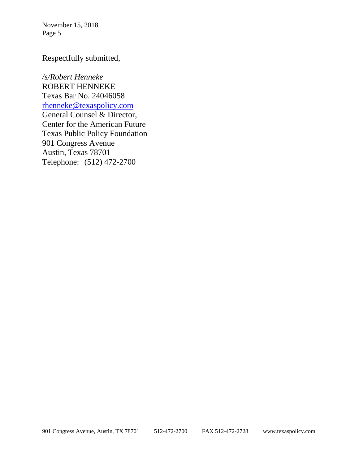November 15, 2018 Page 5

## Respectfully submitted,

*/s/Robert Henneke* ROBERT HENNEKE Texas Bar No. 24046058 [rhenneke@texaspolicy.com](mailto:rhenneke@texaspolicy.com) General Counsel & Director, Center for the American Future Texas Public Policy Foundation 901 Congress Avenue Austin, Texas 78701 Telephone: (512) 472-2700